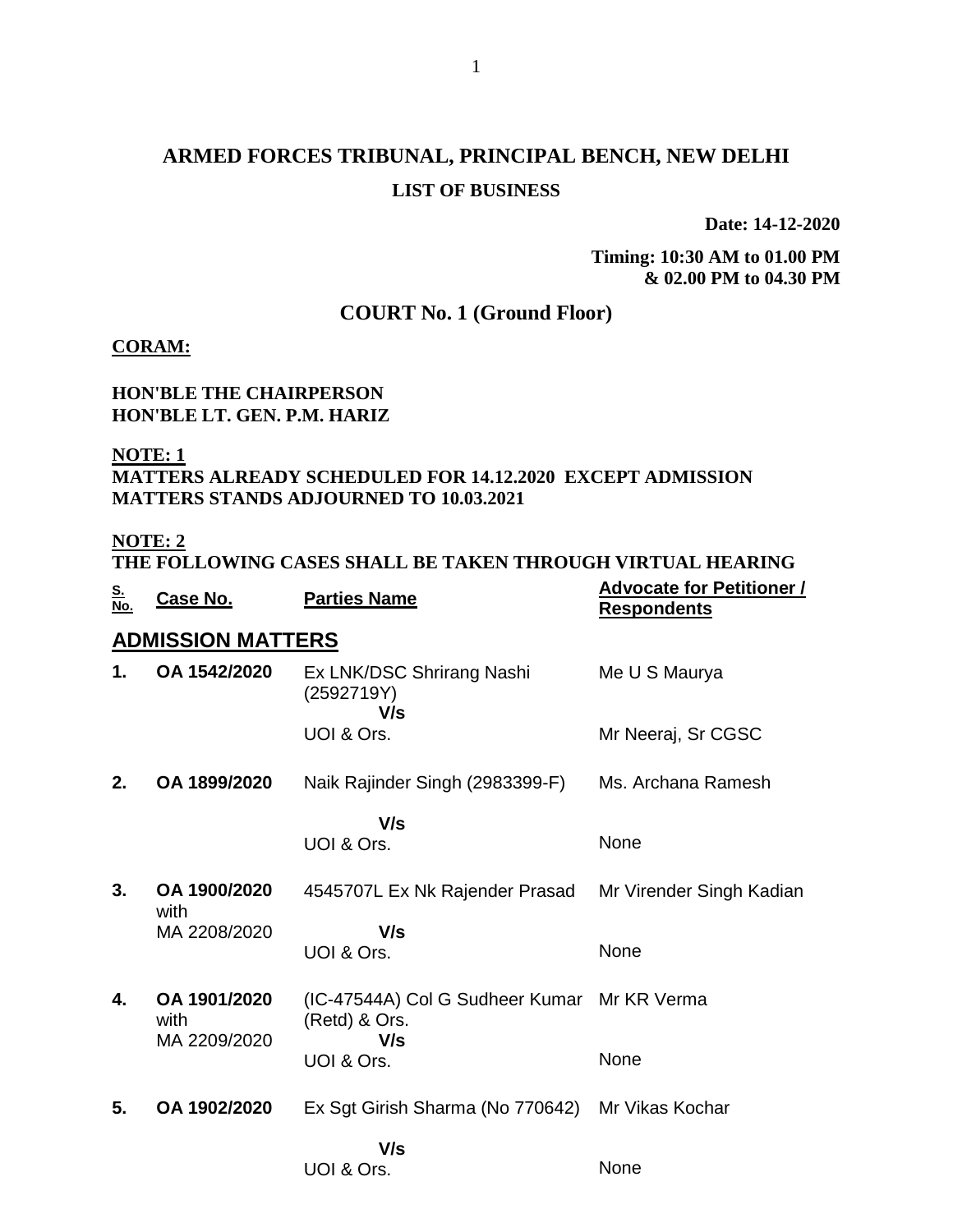# **ARMED FORCES TRIBUNAL, PRINCIPAL BENCH, NEW DELHI LIST OF BUSINESS**

**Date: 14-12-2020**

**Timing: 10:30 AM to 01.00 PM & 02.00 PM to 04.30 PM**

# **COURT No. 1 (Ground Floor)**

#### **CORAM:**

#### **HON'BLE THE CHAIRPERSON HON'BLE LT. GEN. P.M. HARIZ**

**NOTE: 1**

### **MATTERS ALREADY SCHEDULED FOR 14.12.2020 EXCEPT ADMISSION MATTERS STANDS ADJOURNED TO 10.03.2021**

#### **NOTE: 2**

|                   |          | THE FOLLOWING CASES SHALL BE TAKEN THROUGH VIRTUAL HEARING |                                  |
|-------------------|----------|------------------------------------------------------------|----------------------------------|
|                   |          | <b>Parties Name</b>                                        | <b>Advocate for Petitioner /</b> |
| <u>S.<br/>No.</u> | Case No. |                                                            | <b>Respondents</b>               |

### **ADMISSION MATTERS**

| 1. | OA 1542/2020                         | Ex LNK/DSC Shrirang Nashi<br>(2592719Y)<br>V/s                      | Me U S Maurya            |
|----|--------------------------------------|---------------------------------------------------------------------|--------------------------|
|    |                                      | UOI & Ors.                                                          | Mr Neeraj, Sr CGSC       |
| 2. | OA 1899/2020                         | Naik Rajinder Singh (2983399-F)                                     | Ms. Archana Ramesh       |
|    |                                      | V/s<br>UOI & Ors.                                                   | None                     |
| 3. | OA 1900/2020<br>with                 | 4545707L Ex Nk Rajender Prasad                                      | Mr Virender Singh Kadian |
|    | MA 2208/2020                         | V/s<br>UOI & Ors.                                                   | None                     |
| 4. | OA 1901/2020<br>with<br>MA 2209/2020 | (IC-47544A) Col G Sudheer Kumar Mr KR Verma<br>(Retd) & Ors.<br>V/s |                          |
|    |                                      | UOI & Ors.                                                          | None                     |
| 5. | OA 1902/2020                         | Ex Sgt Girish Sharma (No 770642)                                    | Mr Vikas Kochar          |
|    |                                      | V/s<br>UOI & Ors.                                                   | None                     |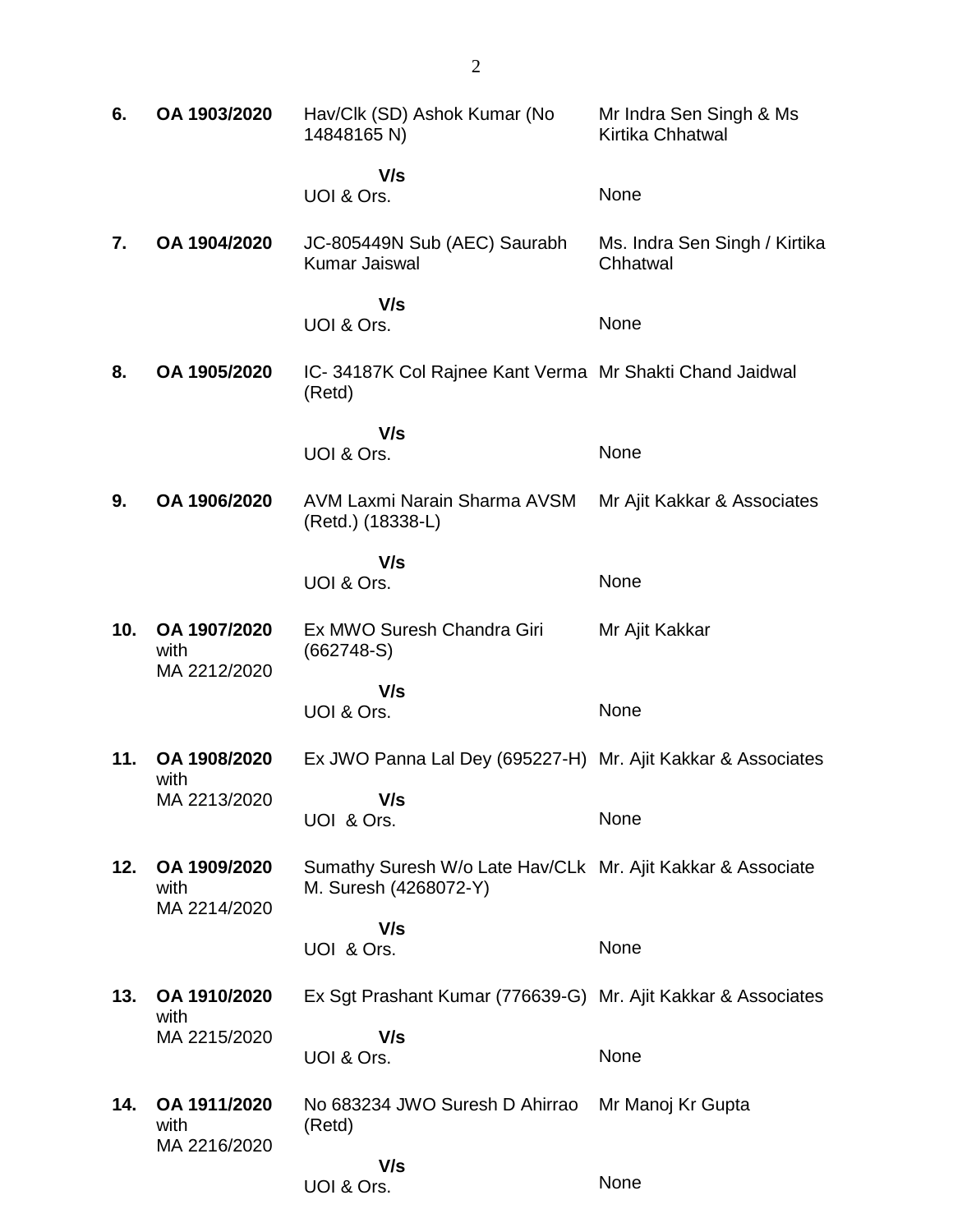| 6.  | OA 1903/2020                         | Hav/Clk (SD) Ashok Kumar (No<br>14848165 N)                                          | Mr Indra Sen Singh & Ms<br>Kirtika Chhatwal |
|-----|--------------------------------------|--------------------------------------------------------------------------------------|---------------------------------------------|
|     |                                      | V/s<br>UOI & Ors.                                                                    | None                                        |
| 7.  | OA 1904/2020                         | JC-805449N Sub (AEC) Saurabh<br>Kumar Jaiswal                                        | Ms. Indra Sen Singh / Kirtika<br>Chhatwal   |
|     |                                      | V/s<br>UOI & Ors.                                                                    | None                                        |
| 8.  | OA 1905/2020                         | IC-34187K Col Rajnee Kant Verma Mr Shakti Chand Jaidwal<br>(Retd)                    |                                             |
|     |                                      | V/s                                                                                  |                                             |
|     |                                      | UOI & Ors.                                                                           | None                                        |
| 9.  | OA 1906/2020                         | AVM Laxmi Narain Sharma AVSM<br>(Retd.) (18338-L)                                    | Mr Ajit Kakkar & Associates                 |
|     |                                      | V/s<br>UOI & Ors.                                                                    | None                                        |
| 10. | OA 1907/2020<br>with<br>MA 2212/2020 | Ex MWO Suresh Chandra Giri<br>$(662748-S)$                                           | Mr Ajit Kakkar                              |
|     |                                      | V/s<br>UOI & Ors.                                                                    | None                                        |
| 11. | OA 1908/2020                         | Ex JWO Panna Lal Dey (695227-H) Mr. Ajit Kakkar & Associates                         |                                             |
|     | with<br>MA 2213/2020                 | V/s<br>UOI & Ors.                                                                    | None                                        |
| 12. | OA 1909/2020<br>with<br>MA 2214/2020 | Sumathy Suresh W/o Late Hav/CLk Mr. Ajit Kakkar & Associate<br>M. Suresh (4268072-Y) |                                             |
|     |                                      | V/s<br>UOI & Ors.                                                                    | None                                        |
| 13. | OA 1910/2020                         | Ex Sgt Prashant Kumar (776639-G) Mr. Ajit Kakkar & Associates                        |                                             |
|     | with<br>MA 2215/2020                 | V/s<br>UOI & Ors.                                                                    | None                                        |
| 14. | OA 1911/2020<br>with<br>MA 2216/2020 | No 683234 JWO Suresh D Ahirrao<br>(Retd)                                             | Mr Manoj Kr Gupta                           |
|     |                                      | V/s<br>UOI & Ors.                                                                    | None                                        |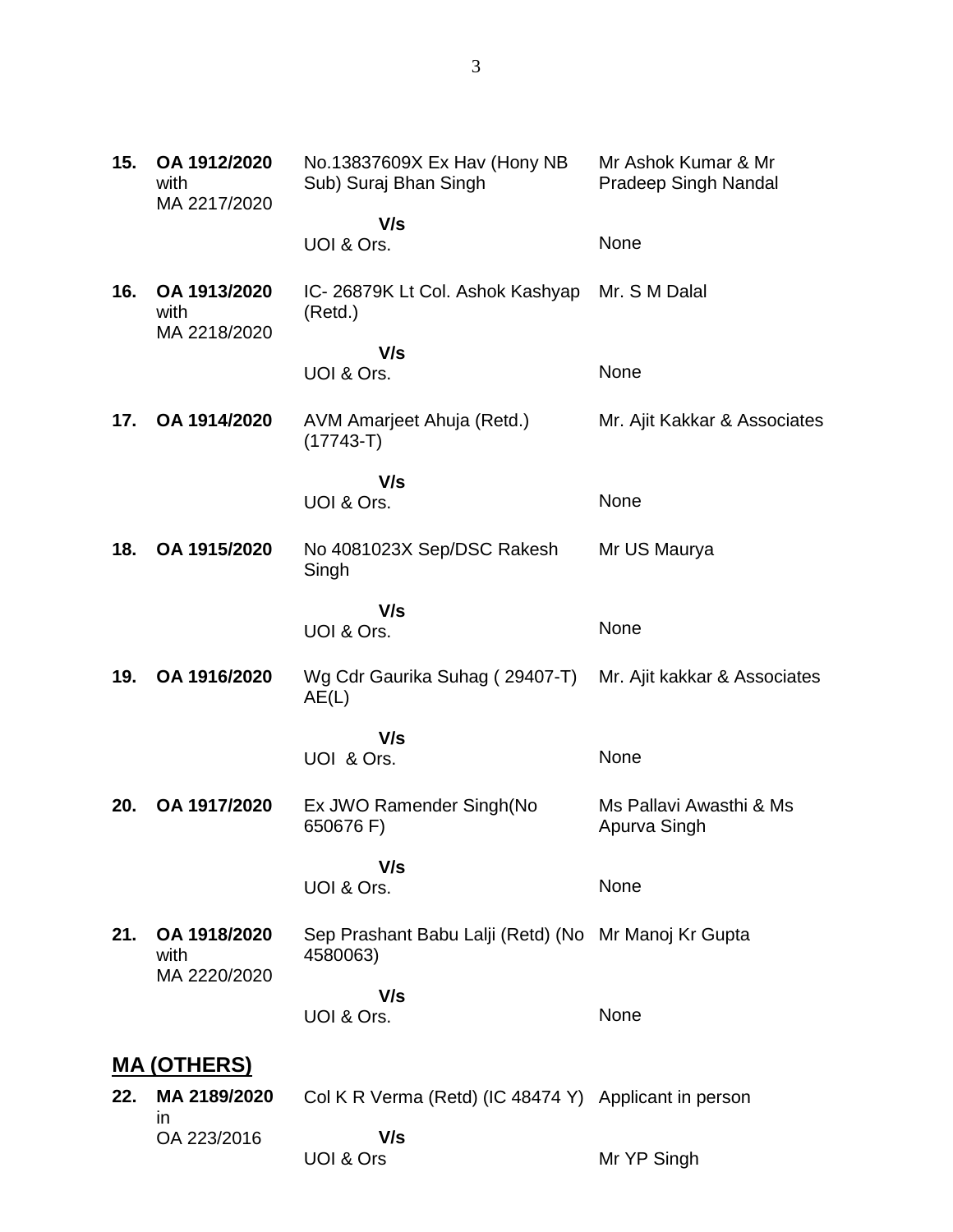| 15. | OA 1912/2020<br>with<br>MA 2217/2020 | No.13837609X Ex Hav (Hony NB<br>Sub) Suraj Bhan Singh            | Mr Ashok Kumar & Mr<br><b>Pradeep Singh Nandal</b> |
|-----|--------------------------------------|------------------------------------------------------------------|----------------------------------------------------|
|     |                                      | V/s<br>UOI & Ors.                                                | None                                               |
| 16. | OA 1913/2020<br>with                 | IC- 26879K Lt Col. Ashok Kashyap<br>(Retd.)                      | Mr. S M Dalal                                      |
|     | MA 2218/2020                         | V/s<br>UOI & Ors.                                                | None                                               |
| 17. | OA 1914/2020                         | AVM Amarjeet Ahuja (Retd.)<br>$(17743 - T)$                      | Mr. Ajit Kakkar & Associates                       |
|     |                                      | V/s<br>UOI & Ors.                                                | None                                               |
| 18. | OA 1915/2020                         | No 4081023X Sep/DSC Rakesh<br>Singh                              | Mr US Maurya                                       |
|     |                                      | V/s<br>UOI & Ors.                                                | None                                               |
| 19. | OA 1916/2020                         | Wg Cdr Gaurika Suhag (29407-T)<br>AE(L)                          | Mr. Ajit kakkar & Associates                       |
|     |                                      | V/s<br>UOI & Ors.                                                | None                                               |
| 20. | OA 1917/2020                         | Ex JWO Ramender Singh(No<br>650676 F)                            | Ms Pallavi Awasthi & Ms<br>Apurva Singh            |
|     |                                      | V/s<br>UOI & Ors.                                                | None                                               |
| 21. | OA 1918/2020<br>with<br>MA 2220/2020 | Sep Prashant Babu Lalji (Retd) (No Mr Manoj Kr Gupta<br>4580063) |                                                    |
|     |                                      | V/s<br>UOI & Ors.                                                | None                                               |
|     | <u>MA (OTHERS)</u>                   |                                                                  |                                                    |
| 22. | MA 2189/2020<br><i>in</i>            | Col K R Verma (Retd) (IC 48474 Y) Applicant in person            |                                                    |
|     | OA 223/2016                          | V/s<br>UOI & Ors                                                 | Mr YP Singh                                        |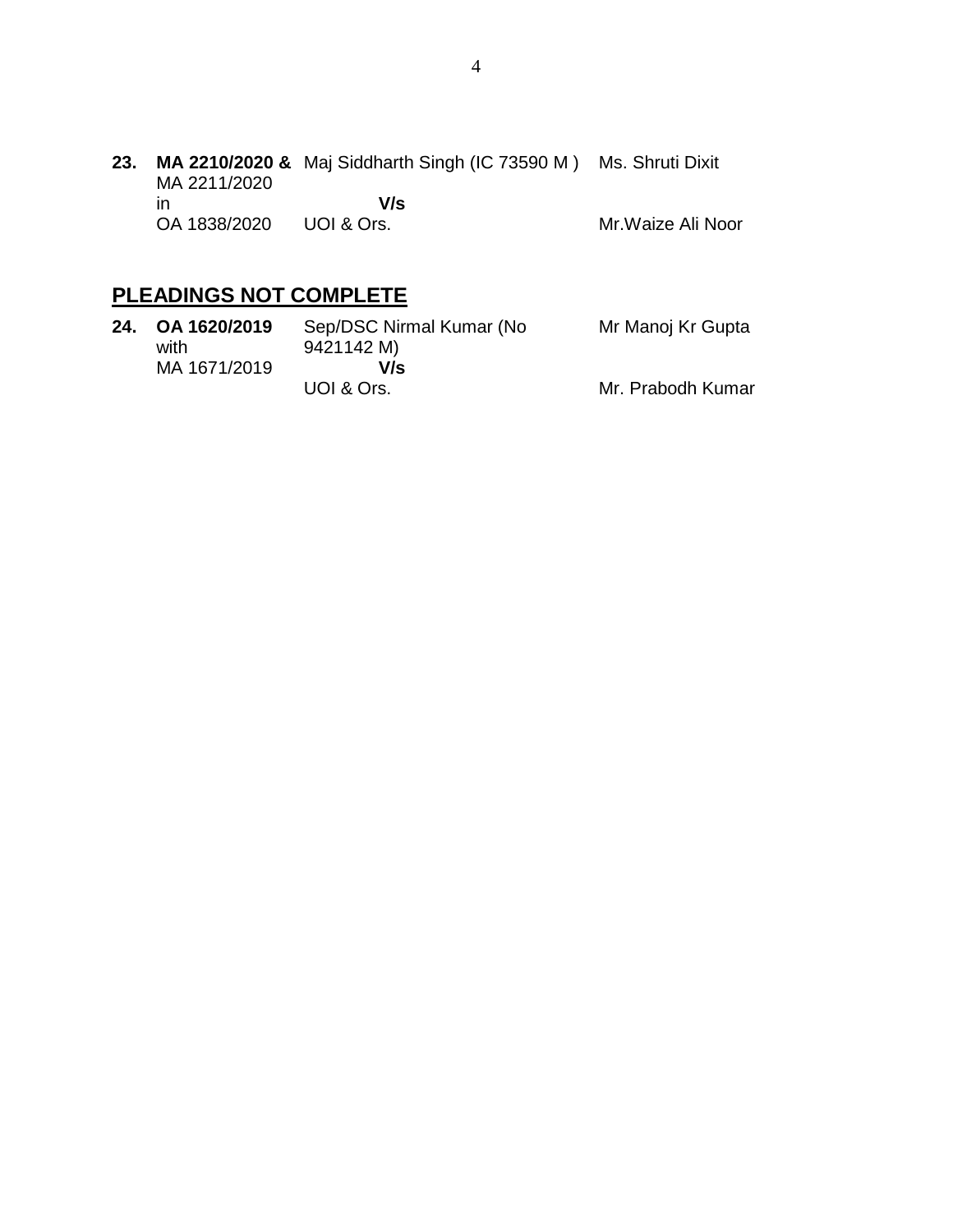**23. MA 2210/2020 &** Maj Siddharth Singh (IC 73590 M ) Ms. Shruti Dixit MA 2211/2020 in OA 1838/2020  **V/s** UOI & Ors. Mr.Waize Ali Noor

# **PLEADINGS NOT COMPLETE**

| 24. OA 1620/2019<br>with | Sep/DSC Nirmal Kumar (No<br>9421142 M) | Mr Manoj Kr Gupta |
|--------------------------|----------------------------------------|-------------------|
| MA 1671/2019             | V/s                                    |                   |
|                          | UOI & Ors.                             | Mr. Prabodh Kumar |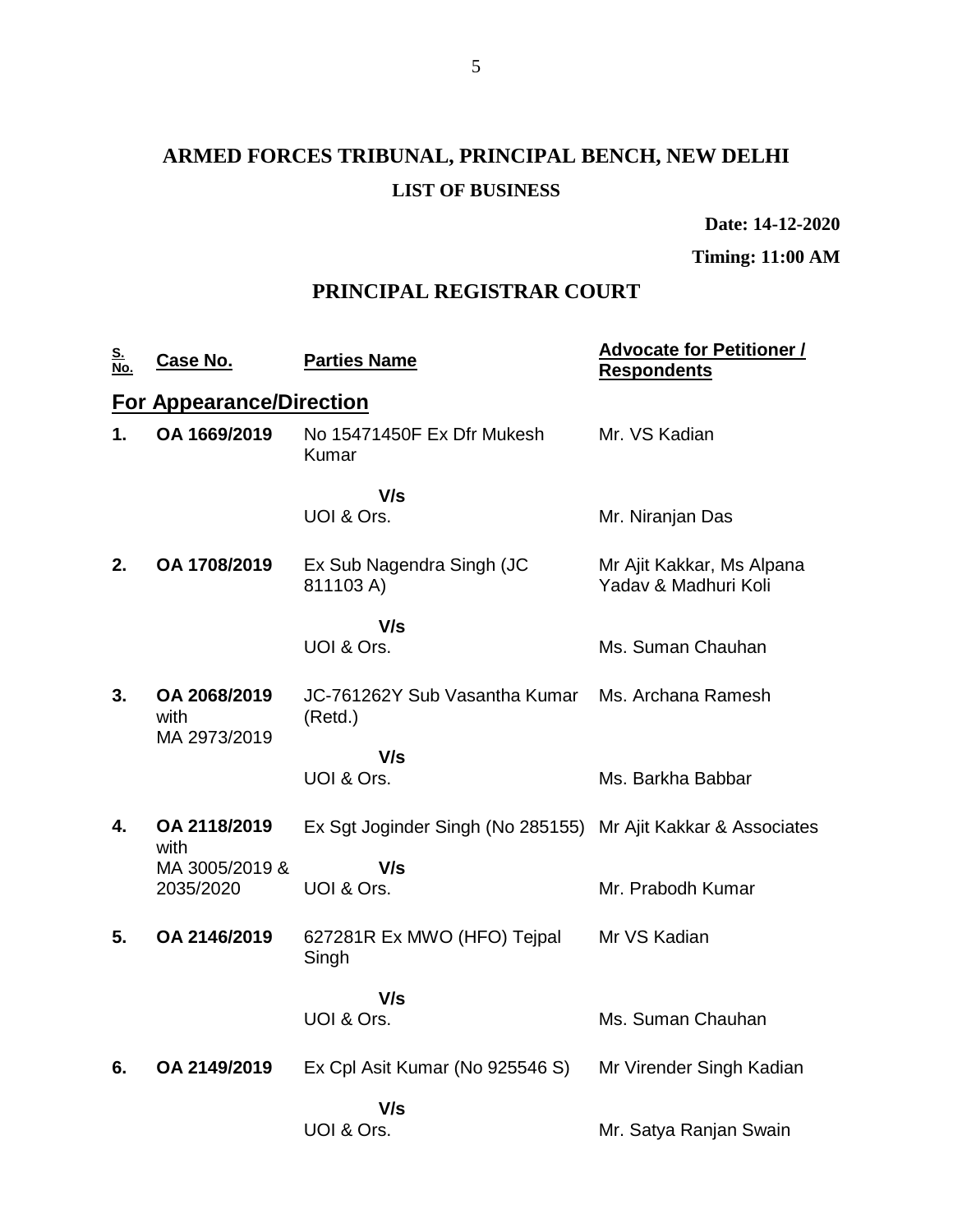# **ARMED FORCES TRIBUNAL, PRINCIPAL BENCH, NEW DELHI LIST OF BUSINESS**

**Date: 14-12-2020**

**Timing: 11:00 AM**

### **PRINCIPAL REGISTRAR COURT**

| <u>S.<br/>No.</u> | <b>Case No.</b>                      | <b>Parties Name</b>                                           | <b>Advocate for Petitioner /</b><br><b>Respondents</b> |
|-------------------|--------------------------------------|---------------------------------------------------------------|--------------------------------------------------------|
|                   | <b>For Appearance/Direction</b>      |                                                               |                                                        |
| 1.                | OA 1669/2019                         | No 15471450F Ex Dfr Mukesh<br>Kumar                           | Mr. VS Kadian                                          |
|                   |                                      | V/s<br>UOI & Ors.                                             | Mr. Niranjan Das                                       |
| 2.                | OA 1708/2019                         | Ex Sub Nagendra Singh (JC<br>811103 A)                        | Mr Ajit Kakkar, Ms Alpana<br>Yaday & Madhuri Koli      |
|                   |                                      | V/s                                                           |                                                        |
|                   |                                      | UOI & Ors.                                                    | Ms. Suman Chauhan                                      |
| 3.                | OA 2068/2019<br>with<br>MA 2973/2019 | JC-761262Y Sub Vasantha Kumar<br>(Retd.)                      | Ms. Archana Ramesh                                     |
|                   |                                      | V/s                                                           |                                                        |
|                   |                                      | UOI & Ors.                                                    | Ms. Barkha Babbar                                      |
| 4.                | OA 2118/2019<br>with                 | Ex Sgt Joginder Singh (No 285155) Mr Ajit Kakkar & Associates |                                                        |
|                   | MA 3005/2019 &                       | V/s                                                           |                                                        |
|                   | 2035/2020                            | UOI & Ors.                                                    | Mr. Prabodh Kumar                                      |
| 5.                | OA 2146/2019                         | 627281R Ex MWO (HFO) Tejpal<br>Singh                          | Mr VS Kadian                                           |
|                   |                                      | V/s                                                           |                                                        |
|                   |                                      | UOI & Ors.                                                    | Ms. Suman Chauhan                                      |
| 6.                | OA 2149/2019                         | Ex Cpl Asit Kumar (No 925546 S)                               | Mr Virender Singh Kadian                               |
|                   |                                      | V/s                                                           |                                                        |
|                   |                                      | UOI & Ors.                                                    | Mr. Satya Ranjan Swain                                 |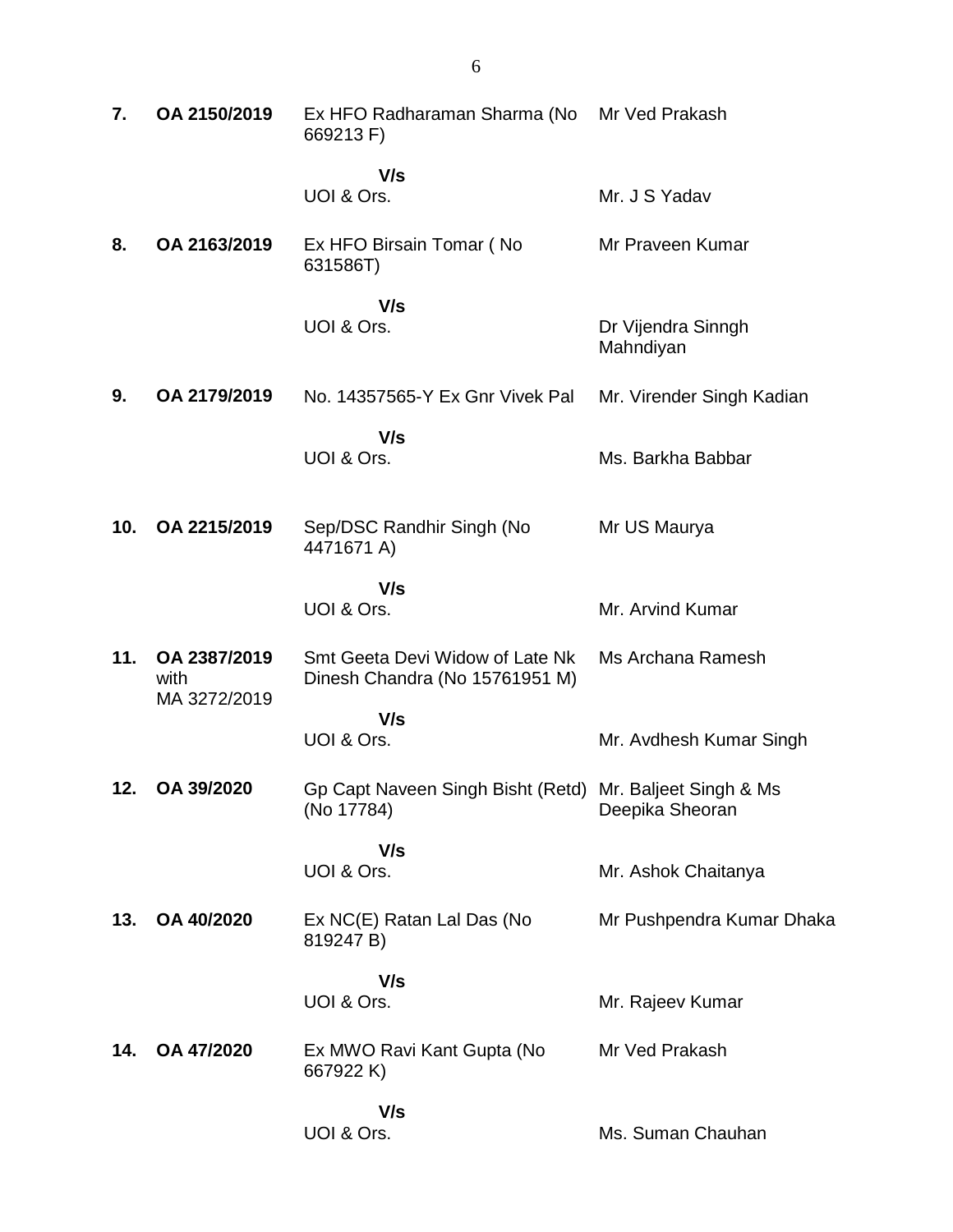| 7.  | OA 2150/2019                         | Ex HFO Radharaman Sharma (No Mr Ved Prakash<br>669213 F)               |                                 |
|-----|--------------------------------------|------------------------------------------------------------------------|---------------------------------|
|     |                                      | V/s<br>UOI & Ors.                                                      | Mr. J S Yadav                   |
| 8.  | OA 2163/2019                         | Ex HFO Birsain Tomar (No<br>631586T)                                   | Mr Praveen Kumar                |
|     |                                      | V/s<br>UOI & Ors.                                                      | Dr Vijendra Sinngh<br>Mahndiyan |
| 9.  | OA 2179/2019                         | No. 14357565-Y Ex Gnr Vivek Pal                                        | Mr. Virender Singh Kadian       |
|     |                                      | V/s<br>UOI & Ors.                                                      | Ms. Barkha Babbar               |
| 10. | OA 2215/2019                         | Sep/DSC Randhir Singh (No<br>4471671 A)                                | Mr US Maurya                    |
|     |                                      | V/s<br>UOI & Ors.                                                      | Mr. Arvind Kumar                |
| 11. | OA 2387/2019<br>with<br>MA 3272/2019 | Smt Geeta Devi Widow of Late Nk<br>Dinesh Chandra (No 15761951 M)      | Ms Archana Ramesh               |
|     |                                      | V/s<br>UOI & Ors.                                                      | Mr. Avdhesh Kumar Singh         |
| 12. | OA 39/2020                           | Gp Capt Naveen Singh Bisht (Retd) Mr. Baljeet Singh & Ms<br>(No 17784) | Deepika Sheoran                 |
|     |                                      | V/s<br>UOI & Ors.                                                      | Mr. Ashok Chaitanya             |
| 13. | OA 40/2020                           | Ex NC(E) Ratan Lal Das (No<br>819247 B)                                | Mr Pushpendra Kumar Dhaka       |
|     |                                      | V/s<br>UOI & Ors.                                                      | Mr. Rajeev Kumar                |
| 14. | OA 47/2020                           | Ex MWO Ravi Kant Gupta (No<br>667922 K)                                | Mr Ved Prakash                  |
|     |                                      | V/s<br>UOI & Ors.                                                      | Ms. Suman Chauhan               |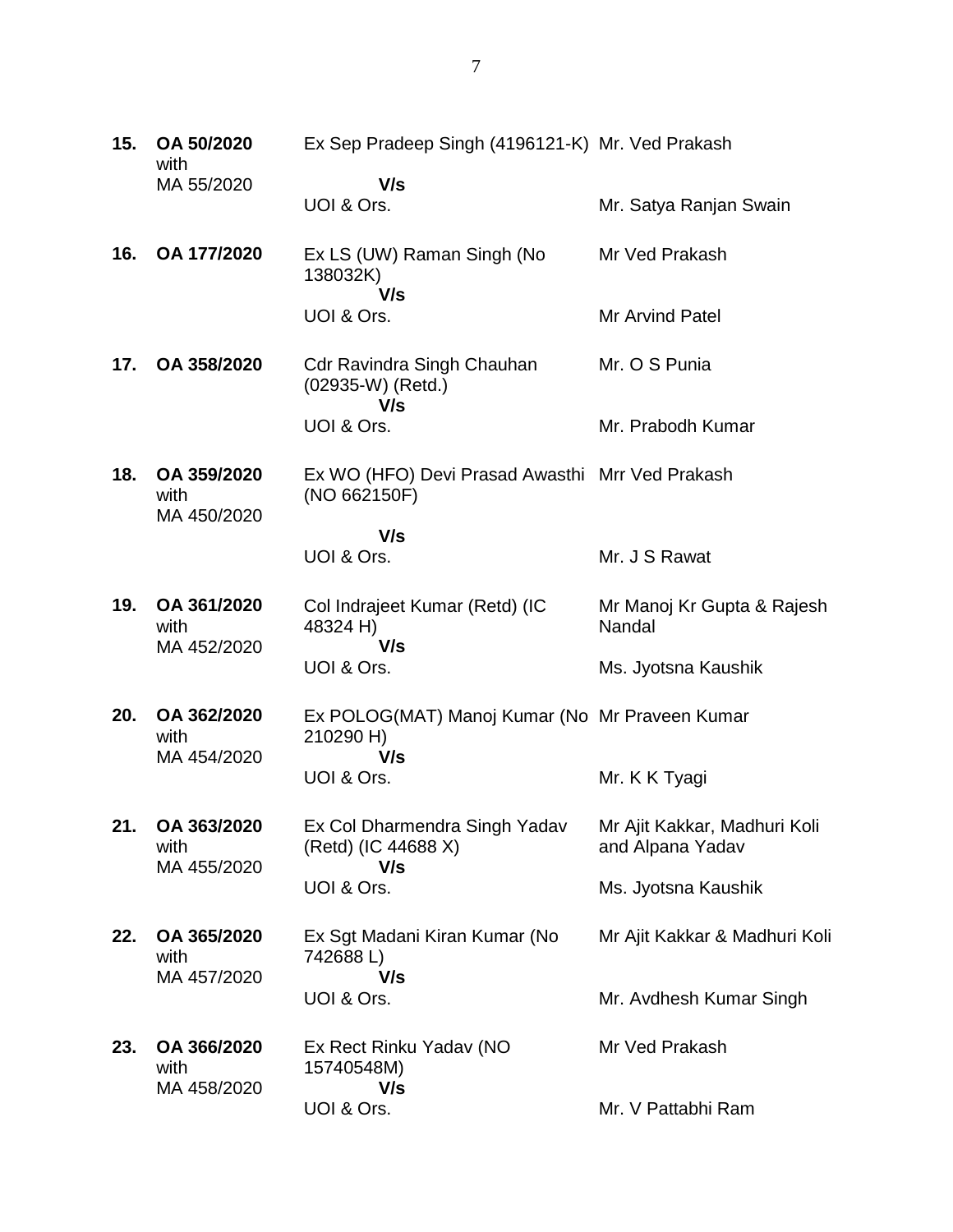| 15. | OA 50/2020<br>with                 | Ex Sep Pradeep Singh (4196121-K) Mr. Ved Prakash                |                                                  |
|-----|------------------------------------|-----------------------------------------------------------------|--------------------------------------------------|
|     | MA 55/2020                         | V/s<br>UOI & Ors.                                               | Mr. Satya Ranjan Swain                           |
| 16. | OA 177/2020                        | Ex LS (UW) Raman Singh (No<br>138032K)                          | Mr Ved Prakash                                   |
|     |                                    | V/s<br>UOI & Ors.                                               | Mr Arvind Patel                                  |
| 17. | OA 358/2020                        | <b>Cdr Ravindra Singh Chauhan</b><br>(02935-W) (Retd.)<br>V/s   | Mr. O S Punia                                    |
|     |                                    | UOI & Ors.                                                      | Mr. Prabodh Kumar                                |
| 18. | OA 359/2020<br>with                | Ex WO (HFO) Devi Prasad Awasthi Mrr Ved Prakash<br>(NO 662150F) |                                                  |
|     | MA 450/2020                        | V/s                                                             |                                                  |
|     |                                    | UOI & Ors.                                                      | Mr. J S Rawat                                    |
| 19. | OA 361/2020<br>with<br>MA 452/2020 | Col Indrajeet Kumar (Retd) (IC<br>48324 H)<br>V/s               | Mr Manoj Kr Gupta & Rajesh<br>Nandal             |
|     |                                    | UOI & Ors.                                                      | Ms. Jyotsna Kaushik                              |
| 20. | OA 362/2020<br>with                | Ex POLOG(MAT) Manoj Kumar (No Mr Praveen Kumar<br>210290 H)     |                                                  |
|     | MA 454/2020                        | V/s<br>UOI & Ors.                                               | Mr. K K Tyagi                                    |
| 21. | OA 363/2020<br>with                | Ex Col Dharmendra Singh Yadav<br>(Retd) (IC 44688 X)<br>V/s     | Mr Ajit Kakkar, Madhuri Koli<br>and Alpana Yadav |
|     | MA 455/2020                        | UOI & Ors.                                                      | Ms. Jyotsna Kaushik                              |
| 22. | OA 365/2020<br>with                | Ex Sgt Madani Kiran Kumar (No<br>742688L)                       | Mr Ajit Kakkar & Madhuri Koli                    |
|     | MA 457/2020                        | V/s<br>UOI & Ors.                                               | Mr. Avdhesh Kumar Singh                          |
| 23. | OA 366/2020<br>with<br>MA 458/2020 | Ex Rect Rinku Yadav (NO<br>15740548M)<br>V/s                    | Mr Ved Prakash                                   |
|     |                                    | UOI & Ors.                                                      | Mr. V Pattabhi Ram                               |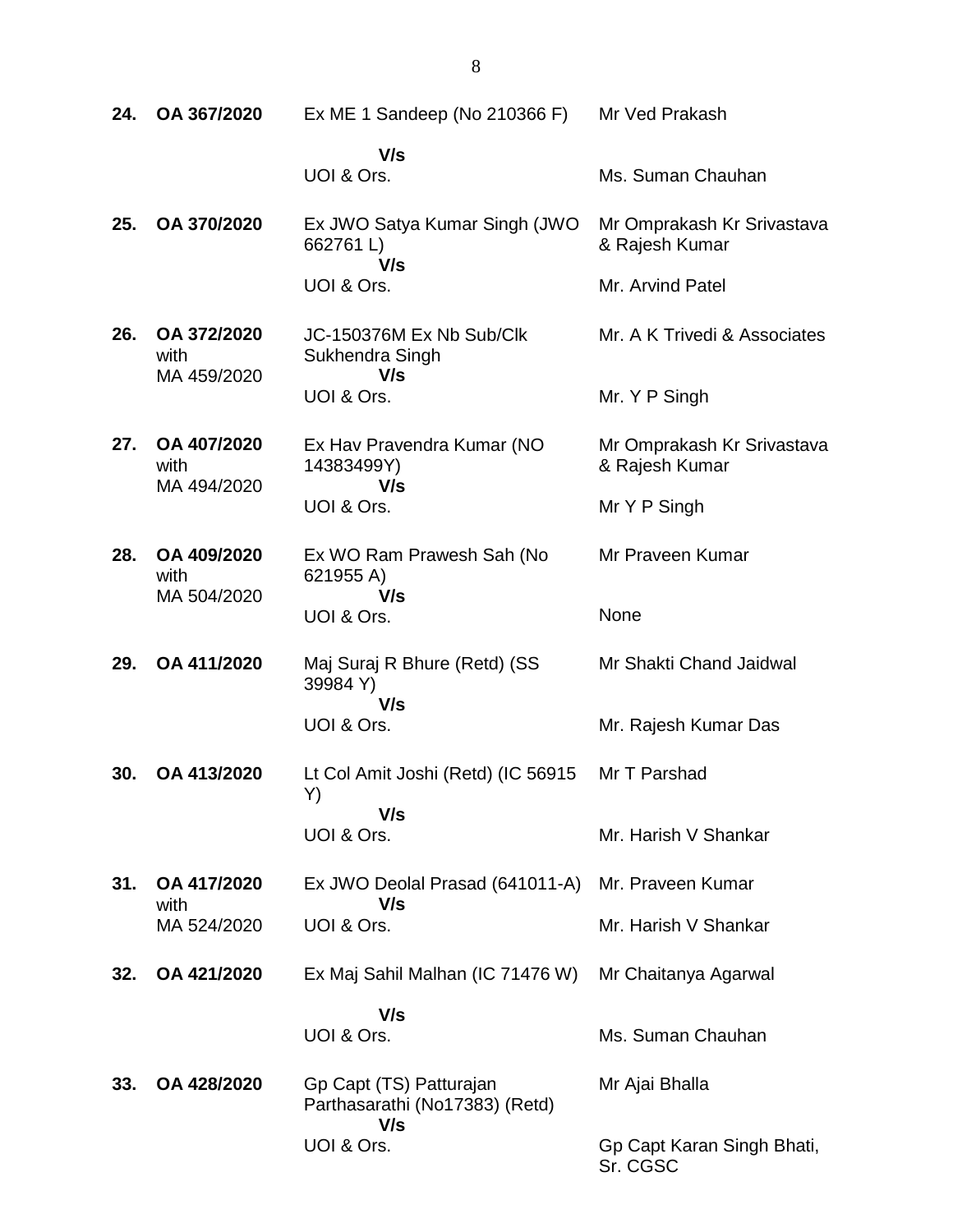| 24. | OA 367/2020                        | Ex ME 1 Sandeep (No 210366 F)                                    | Mr Ved Prakash                               |
|-----|------------------------------------|------------------------------------------------------------------|----------------------------------------------|
|     |                                    | V/s<br>UOI & Ors.                                                | Ms. Suman Chauhan                            |
| 25. | OA 370/2020                        | Ex JWO Satya Kumar Singh (JWO<br>662761L)<br>V/s                 | Mr Omprakash Kr Srivastava<br>& Rajesh Kumar |
|     |                                    | UOI & Ors.                                                       | Mr. Arvind Patel                             |
| 26. | OA 372/2020<br>with<br>MA 459/2020 | JC-150376M Ex Nb Sub/Clk<br>Sukhendra Singh<br>V/s               | Mr. A K Trivedi & Associates                 |
|     |                                    | UOI & Ors.                                                       | Mr. Y P Singh                                |
| 27. | OA 407/2020<br>with<br>MA 494/2020 | Ex Hav Pravendra Kumar (NO<br>14383499Y)<br>V/s                  | Mr Omprakash Kr Srivastava<br>& Rajesh Kumar |
|     |                                    | UOI & Ors.                                                       | Mr Y P Singh                                 |
| 28. | OA 409/2020<br>with                | Ex WO Ram Prawesh Sah (No<br>621955 A)                           | Mr Praveen Kumar                             |
|     | MA 504/2020                        | V/s<br>UOI & Ors.                                                | None                                         |
| 29. | OA 411/2020                        | Maj Suraj R Bhure (Retd) (SS<br>39984 Y)                         | Mr Shakti Chand Jaidwal                      |
|     |                                    | V/s<br>UOI & Ors.                                                | Mr. Rajesh Kumar Das                         |
| 30. | OA 413/2020                        | Lt Col Amit Joshi (Retd) (IC 56915<br>Y)                         | Mr T Parshad                                 |
|     |                                    | V/s<br>UOI & Ors.                                                | Mr. Harish V Shankar                         |
| 31. | OA 417/2020                        | Ex JWO Deolal Prasad (641011-A)                                  | Mr. Praveen Kumar                            |
|     | with<br>MA 524/2020                | V/s<br>UOI & Ors.                                                | Mr. Harish V Shankar                         |
| 32. | OA 421/2020                        | Ex Maj Sahil Malhan (IC 71476 W)                                 | Mr Chaitanya Agarwal                         |
|     |                                    | V/s                                                              |                                              |
|     |                                    | UOI & Ors.                                                       | Ms. Suman Chauhan                            |
| 33. | OA 428/2020                        | Gp Capt (TS) Patturajan<br>Parthasarathi (No17383) (Retd)<br>V/s | Mr Ajai Bhalla                               |
|     |                                    | UOI & Ors.                                                       | Gp Capt Karan Singh Bhati,<br>Sr. CGSC       |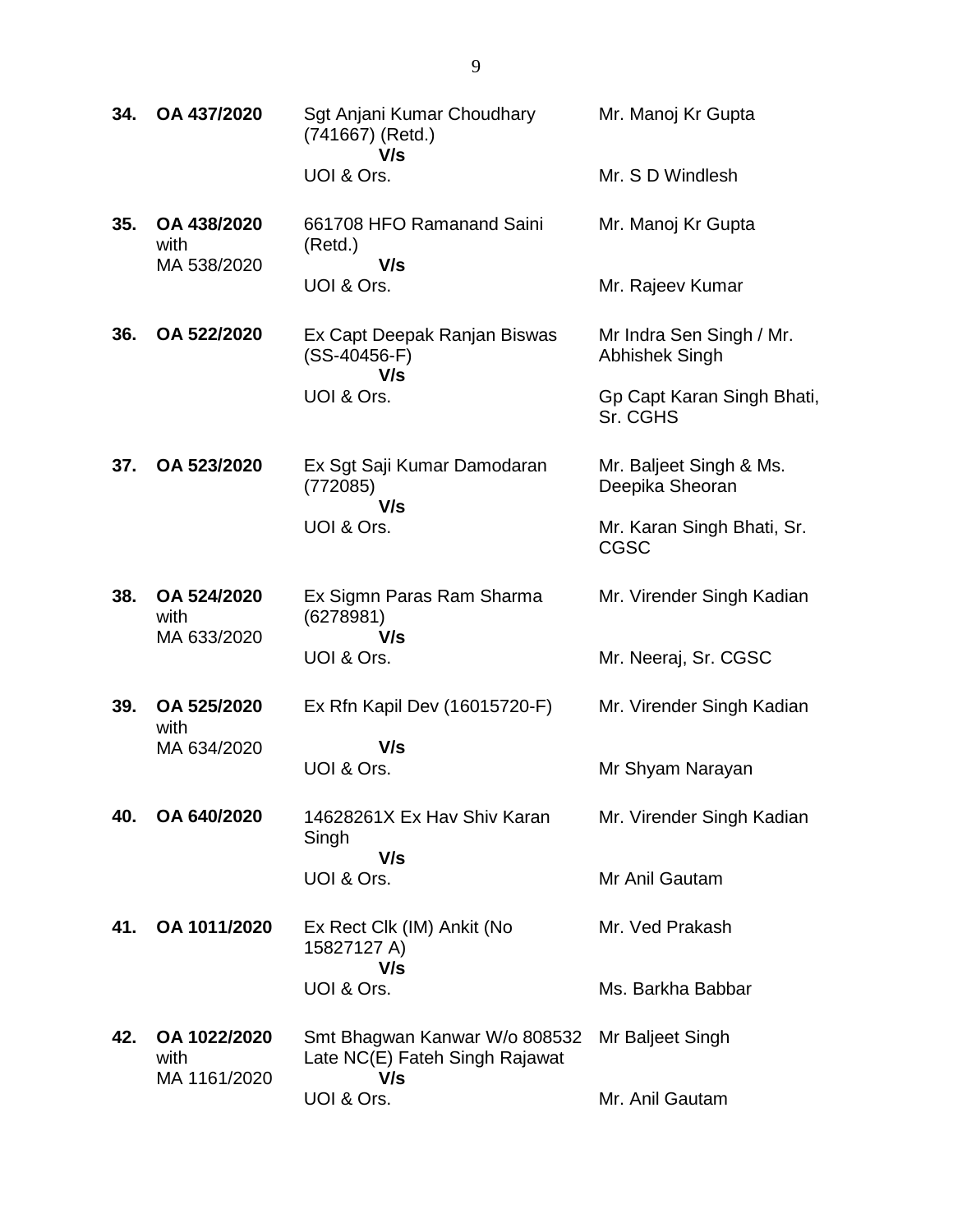| 34. | OA 437/2020                          | Sgt Anjani Kumar Choudhary<br>(741667) (Retd.)<br>V/s                  | Mr. Manoj Kr Gupta                                |
|-----|--------------------------------------|------------------------------------------------------------------------|---------------------------------------------------|
|     |                                      | UOI & Ors.                                                             | Mr. S D Windlesh                                  |
| 35. | OA 438/2020<br>with<br>MA 538/2020   | 661708 HFO Ramanand Saini<br>(Retd.)<br>V/s                            | Mr. Manoj Kr Gupta                                |
|     |                                      | UOI & Ors.                                                             | Mr. Rajeev Kumar                                  |
| 36. | OA 522/2020                          | Ex Capt Deepak Ranjan Biswas<br>$(SS-40456-F)$<br>V/s                  | Mr Indra Sen Singh / Mr.<br><b>Abhishek Singh</b> |
|     |                                      | UOI & Ors.                                                             | Gp Capt Karan Singh Bhati,<br>Sr. CGHS            |
| 37. | OA 523/2020                          | Ex Sgt Saji Kumar Damodaran<br>(772085)<br>V/s                         | Mr. Baljeet Singh & Ms.<br>Deepika Sheoran        |
|     |                                      | UOI & Ors.                                                             | Mr. Karan Singh Bhati, Sr.<br><b>CGSC</b>         |
| 38. | OA 524/2020<br>with<br>MA 633/2020   | Ex Sigmn Paras Ram Sharma<br>(6278981)<br>V/s                          | Mr. Virender Singh Kadian                         |
|     |                                      | UOI & Ors.                                                             | Mr. Neeraj, Sr. CGSC                              |
| 39. | OA 525/2020<br>with                  | Ex Rfn Kapil Dev (16015720-F)                                          | Mr. Virender Singh Kadian                         |
|     | MA 634/2020                          | V/s<br>UOI & Ors.                                                      | Mr Shyam Narayan                                  |
|     |                                      |                                                                        |                                                   |
| 40. | OA 640/2020                          | 14628261X Ex Hav Shiv Karan<br>Singh<br>V/s                            | Mr. Virender Singh Kadian                         |
|     |                                      | UOI & Ors.                                                             | Mr Anil Gautam                                    |
| 41. | OA 1011/2020                         | Ex Rect Clk (IM) Ankit (No<br>15827127 A)                              | Mr. Ved Prakash                                   |
|     |                                      | V/s<br>UOI & Ors.                                                      | Ms. Barkha Babbar                                 |
| 42. | OA 1022/2020<br>with<br>MA 1161/2020 | Smt Bhagwan Kanwar W/o 808532<br>Late NC(E) Fateh Singh Rajawat<br>V/s | Mr Baljeet Singh                                  |
|     |                                      | UOI & Ors.                                                             | Mr. Anil Gautam                                   |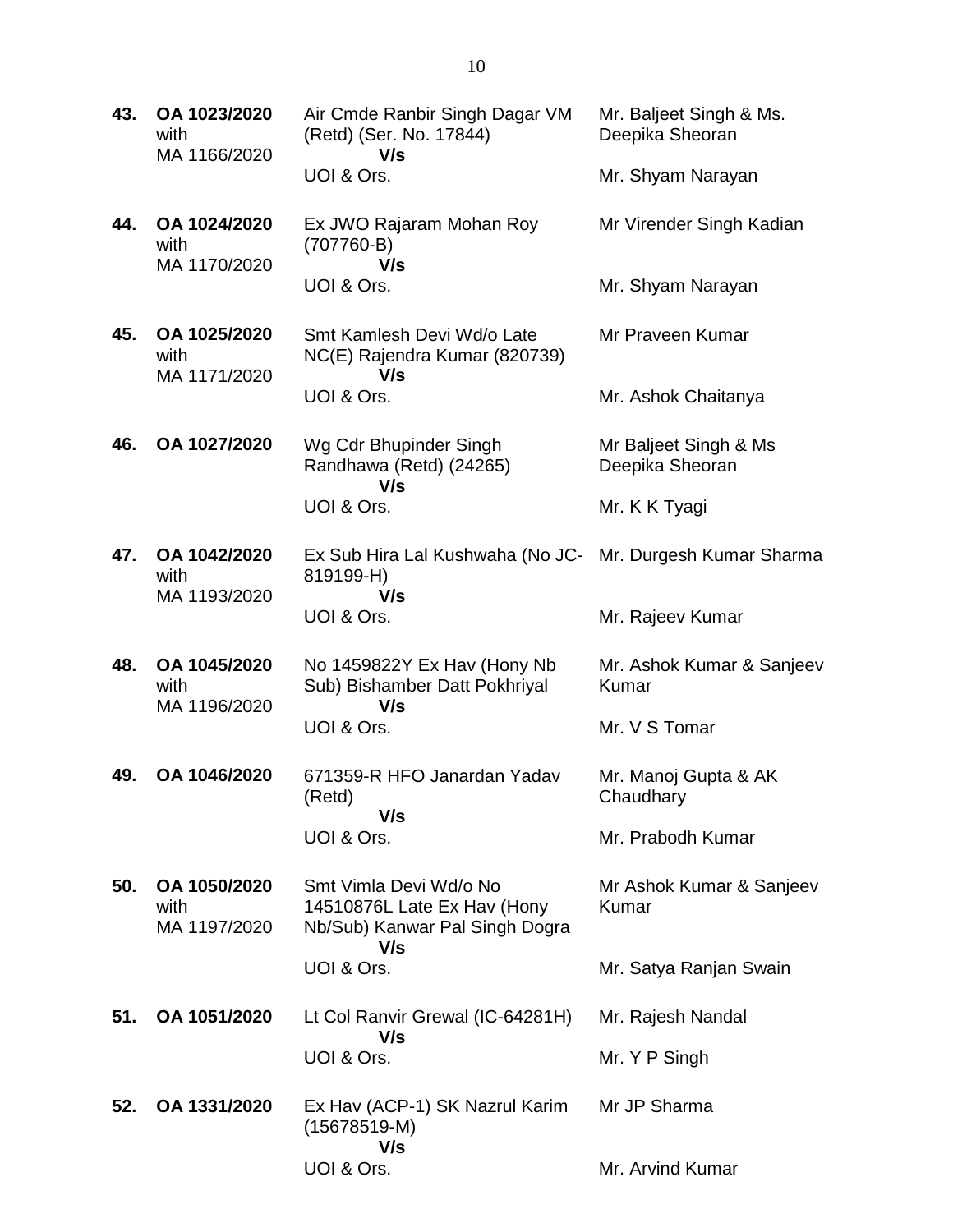|     | with<br>MA 1166/2020                 | (Retd) (Ser. No. 17844)<br>V/s                                                          | Deepika Sheoran                          |
|-----|--------------------------------------|-----------------------------------------------------------------------------------------|------------------------------------------|
|     |                                      | UOI & Ors.                                                                              | Mr. Shyam Narayan                        |
| 44. | OA 1024/2020<br>with<br>MA 1170/2020 | Ex JWO Rajaram Mohan Roy<br>$(707760-B)$<br>V/s                                         | Mr Virender Singh Kadian                 |
|     |                                      | UOI & Ors.                                                                              | Mr. Shyam Narayan                        |
| 45. | OA 1025/2020<br>with<br>MA 1171/2020 | Smt Kamlesh Devi Wd/o Late<br>NC(E) Rajendra Kumar (820739)<br>V/s                      | Mr Praveen Kumar                         |
|     |                                      | UOI & Ors.                                                                              | Mr. Ashok Chaitanya                      |
| 46. | OA 1027/2020                         | Wg Cdr Bhupinder Singh<br>Randhawa (Retd) (24265)<br>V/s                                | Mr Baljeet Singh & Ms<br>Deepika Sheoran |
|     |                                      | UOI & Ors.                                                                              | Mr. K K Tyagi                            |
| 47. | OA 1042/2020<br>with                 | Ex Sub Hira Lal Kushwaha (No JC- Mr. Durgesh Kumar Sharma<br>819199-H)                  |                                          |
|     | MA 1193/2020                         | V/s<br>UOI & Ors.                                                                       | Mr. Rajeev Kumar                         |
| 48. | OA 1045/2020<br>with<br>MA 1196/2020 | No 1459822Y Ex Hav (Hony Nb<br>Sub) Bishamber Datt Pokhriyal<br>V/s                     | Mr. Ashok Kumar & Sanjeev<br>Kumar       |
|     |                                      | UOI & Ors.                                                                              | Mr. V S Tomar                            |
| 49. | OA 1046/2020                         | 671359-R HFO Janardan Yadav<br>(Retd)<br>V/s                                            | Mr. Manoj Gupta & AK<br>Chaudhary        |
|     |                                      | UOI & Ors.                                                                              | Mr. Prabodh Kumar                        |
| 50. | OA 1050/2020<br>with<br>MA 1197/2020 | Smt Vimla Devi Wd/o No<br>14510876L Late Ex Hav (Hony<br>Nb/Sub) Kanwar Pal Singh Dogra | Mr Ashok Kumar & Sanjeev<br>Kumar        |
|     |                                      | V/s<br>UOI & Ors.                                                                       | Mr. Satya Ranjan Swain                   |
| 51. | OA 1051/2020                         | Lt Col Ranvir Grewal (IC-64281H)                                                        | Mr. Rajesh Nandal                        |
|     |                                      | V/s<br>UOI & Ors.                                                                       | Mr. Y P Singh                            |
| 52. | OA 1331/2020                         | Ex Hav (ACP-1) SK Nazrul Karim<br>$(15678519-M)$<br>V/s                                 | Mr JP Sharma                             |

UOI & Ors.

Mr. Baljeet Singh & Ms.

Mr. Arvind Kumar

Air Cmde Ranbir Singh Dagar VM

**43. OA 1023/2020**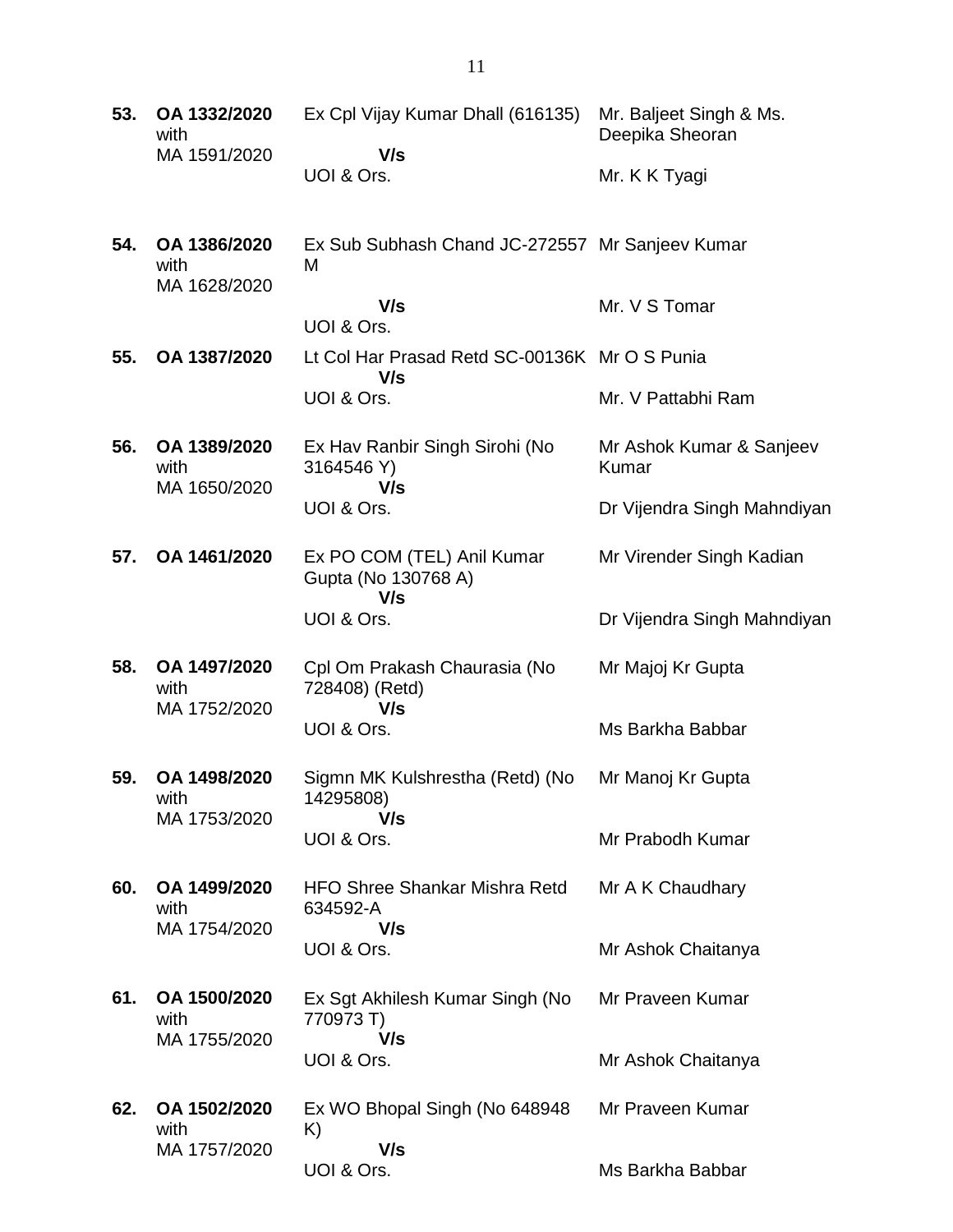| 53. | OA 1332/2020<br>with                 | Ex Cpl Vijay Kumar Dhall (616135)                    | Mr. Baljeet Singh & Ms.<br>Deepika Sheoran |
|-----|--------------------------------------|------------------------------------------------------|--------------------------------------------|
|     | MA 1591/2020                         | V/s<br>UOI & Ors.                                    | Mr. K K Tyagi                              |
| 54. | OA 1386/2020<br>with<br>MA 1628/2020 | Ex Sub Subhash Chand JC-272557 Mr Sanjeev Kumar<br>M |                                            |
|     |                                      | V/s<br>UOI & Ors.                                    | Mr. V S Tomar                              |
| 55. | OA 1387/2020                         | Lt Col Har Prasad Retd SC-00136K Mr O S Punia<br>V/s |                                            |
|     |                                      | UOI & Ors.                                           | Mr. V Pattabhi Ram                         |
| 56. | OA 1389/2020<br>with<br>MA 1650/2020 | Ex Hav Ranbir Singh Sirohi (No<br>3164546 Y)<br>V/s  | Mr Ashok Kumar & Sanjeev<br>Kumar          |
|     |                                      | UOI & Ors.                                           | Dr Vijendra Singh Mahndiyan                |
| 57. | OA 1461/2020                         | Ex PO COM (TEL) Anil Kumar<br>Gupta (No 130768 A)    | Mr Virender Singh Kadian                   |
|     |                                      | V/s<br>UOI & Ors.                                    | Dr Vijendra Singh Mahndiyan                |
| 58. | OA 1497/2020<br>with                 | Cpl Om Prakash Chaurasia (No<br>728408) (Retd)       | Mr Majoj Kr Gupta                          |
|     | MA 1752/2020                         | V/s<br>UOI & Ors.                                    | Ms Barkha Babbar                           |
| 59. | OA 1498/2020<br>with                 | Sigmn MK Kulshrestha (Retd) (No<br>14295808)         | Mr Manoj Kr Gupta                          |
|     | MA 1753/2020                         | V/s<br>UOI & Ors.                                    | Mr Prabodh Kumar                           |
| 60. | OA 1499/2020<br>with                 | <b>HFO Shree Shankar Mishra Retd</b><br>634592-A     | Mr A K Chaudhary                           |
|     | MA 1754/2020                         | V/s<br>UOI & Ors.                                    | Mr Ashok Chaitanya                         |
| 61. | OA 1500/2020<br>with                 | Ex Sgt Akhilesh Kumar Singh (No<br>770973 T)         | Mr Praveen Kumar                           |
|     | MA 1755/2020                         | V/s<br>UOI & Ors.                                    | Mr Ashok Chaitanya                         |
| 62. | OA 1502/2020<br>with                 | Ex WO Bhopal Singh (No 648948)<br>K)                 | Mr Praveen Kumar                           |
|     | MA 1757/2020                         | V/s<br>UOI & Ors.                                    | Ms Barkha Babbar                           |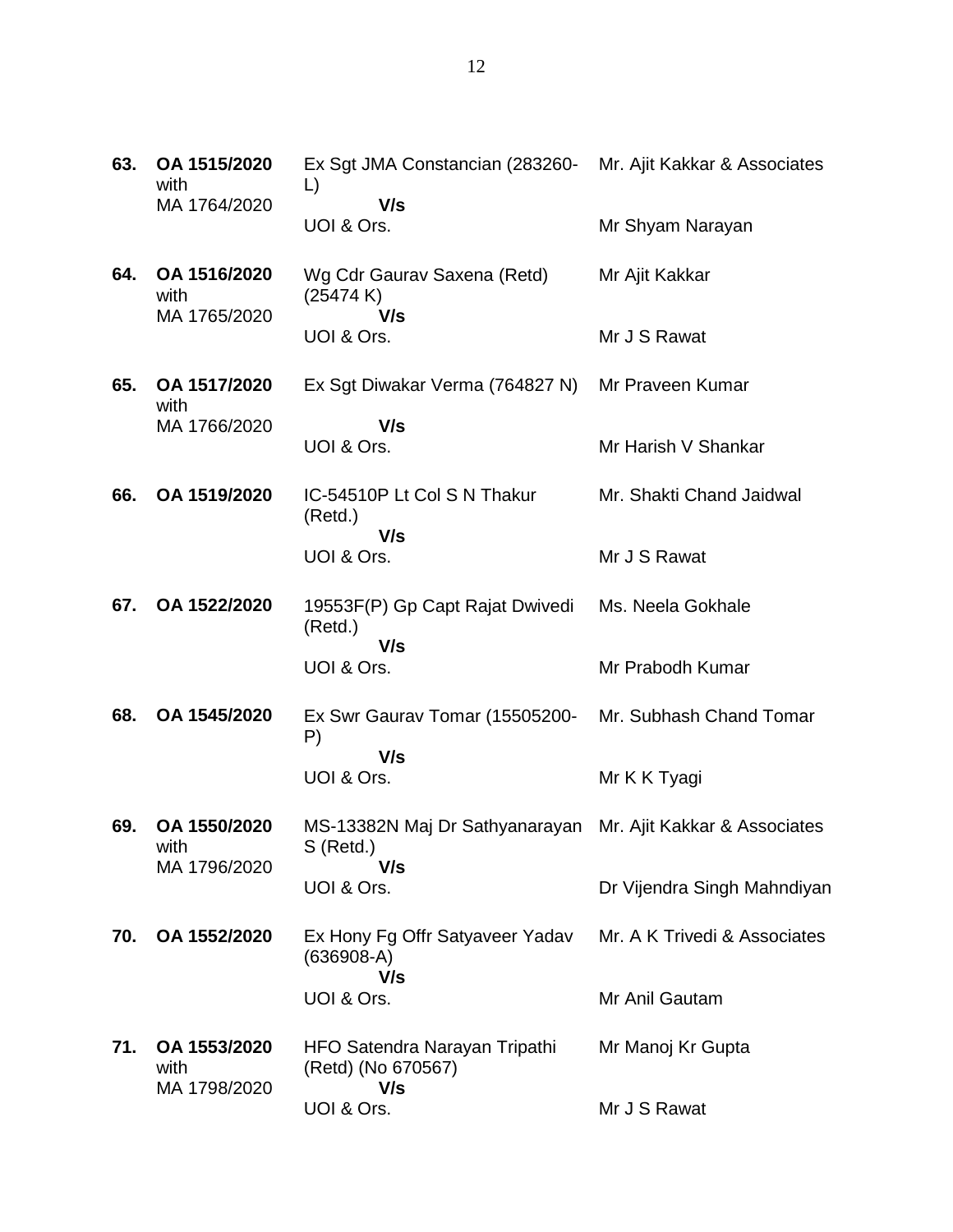| 63. | OA 1515/2020<br>with<br>MA 1764/2020 | Ex Sgt JMA Constancian (283260-<br>L)<br>V/s                             | Mr. Ajit Kakkar & Associates |
|-----|--------------------------------------|--------------------------------------------------------------------------|------------------------------|
|     |                                      | UOI & Ors.                                                               | Mr Shyam Narayan             |
| 64. | OA 1516/2020<br>with<br>MA 1765/2020 | Wg Cdr Gaurav Saxena (Retd)<br>(25474 K)                                 | Mr Ajit Kakkar               |
|     |                                      | V/s<br>UOI & Ors.                                                        | Mr J S Rawat                 |
| 65. | OA 1517/2020<br>with                 | Ex Sgt Diwakar Verma (764827 N)                                          | Mr Praveen Kumar             |
|     | MA 1766/2020                         | V/s<br>UOI & Ors.                                                        | Mr Harish V Shankar          |
| 66. | OA 1519/2020                         | IC-54510P Lt Col S N Thakur<br>(Retd.)                                   | Mr. Shakti Chand Jaidwal     |
|     |                                      | V/s<br>UOI & Ors.                                                        | Mr J S Rawat                 |
| 67. | OA 1522/2020                         | 19553F(P) Gp Capt Rajat Dwivedi<br>(Retd.)                               | Ms. Neela Gokhale            |
|     |                                      | V/s<br>UOI & Ors.                                                        | Mr Prabodh Kumar             |
| 68. | OA 1545/2020                         | Ex Swr Gaurav Tomar (15505200-<br>P)                                     | Mr. Subhash Chand Tomar      |
|     |                                      | V/s<br>UOI & Ors.                                                        | Mr K K Tyagi                 |
| 69. | OA 1550/2020<br>with                 | MS-13382N Maj Dr Sathyanarayan Mr. Ajit Kakkar & Associates<br>S (Retd.) |                              |
|     | MA 1796/2020                         | V/s<br>UOI & Ors.                                                        | Dr Vijendra Singh Mahndiyan  |
| 70. | OA 1552/2020                         | Ex Hony Fg Offr Satyaveer Yadav<br>$(636908-A)$<br>V/s                   | Mr. A K Trivedi & Associates |
|     |                                      | UOI & Ors.                                                               | Mr Anil Gautam               |
| 71. | OA 1553/2020<br>with<br>MA 1798/2020 | HFO Satendra Narayan Tripathi<br>(Retd) (No 670567)<br>V/s               | Mr Manoj Kr Gupta            |
|     |                                      | UOI & Ors.                                                               | Mr J S Rawat                 |